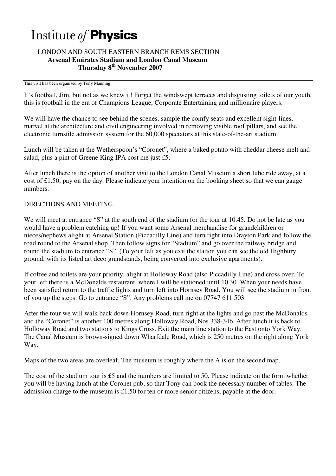## Institute of **Physics**

## LONDON AND SOUTH EASTERN BRANCH REMS SECTION  **Arsenal Emirates Stadium and London Canal Museum Thursday 8th November 2007**

## This visit has been organised by Tony Manning

It's football, Jim, but not as we knew it! Forget the windswept terraces and disgusting toilets of our youth, this is football in the era of Champions League, Corporate Entertaining and millionaire players.

We will have the chance to see behind the scenes, sample the comfy seats and excellent sight-lines, marvel at the architecture and civil engineering involved in removing visible roof pillars, and see the electronic turnstile admission system for the 60,000 spectators at this state-of-the-art stadium.

Lunch will be taken at the Wetherspoon's "Coronet", where a baked potato with cheddar cheese melt and salad, plus a pint of Greene King IPA cost me just £5.

After lunch there is the option of another visit to the London Canal Museum a short tube ride away, at a cost of £1.50, pay on the day. Please indicate your intention on the booking sheet so that we can gauge numbers.

## DIRECTIONS AND MEETING.

We will meet at entrance "S" at the south end of the stadium for the tour at 10.45. Do not be late as you would have a problem catching up! If you want some Arsenal merchandise for grandchildren or nieces/nephews alight at Arsenal Station (Piccadilly Line) and turn right into Drayton Park and follow the road round to the Arsenal shop. Then follow signs for "Stadium" and go over the railway bridge and round the stadium to entrance "S". (To your left as you exit the station you can see the old Highbury ground, with its listed art deco grandstands, being converted into exclusive apartments).

If coffee and toilets are your priority, alight at Holloway Road (also Piccadilly Line) and cross over. To your left there is a McDonalds restaurant, where I will be stationed until 10.30. When your needs have been satisfied return to the traffic lights and turn left into Hornsey Road. You will see the stadium in front of you up the steps. Go to entrance "S". Any problems call me on 07747 611 503

After the tour we will walk back down Hornsey Road, turn right at the lights and go past the McDonalds and the "Coronet" is another 100 metres along Holloway Road, Nos 338-346. After lunch it is back to Holloway Road and two stations to Kings Cross. Exit the main line station to the East onto York Way. The Canal Museum is brown-signed down Wharfdale Road, which is 250 metres on the right along York Way.

Maps of the two areas are overleaf. The museum is roughly where the A is on the second map.

The cost of the stadium tour is £5 and the numbers are limited to 50. Please indicate on the form whether you will be having lunch at the Coronet pub, so that Tony can book the necessary number of tables. The admission charge to the museum is £1.50 for ten or more senior citizens, payable at the door.